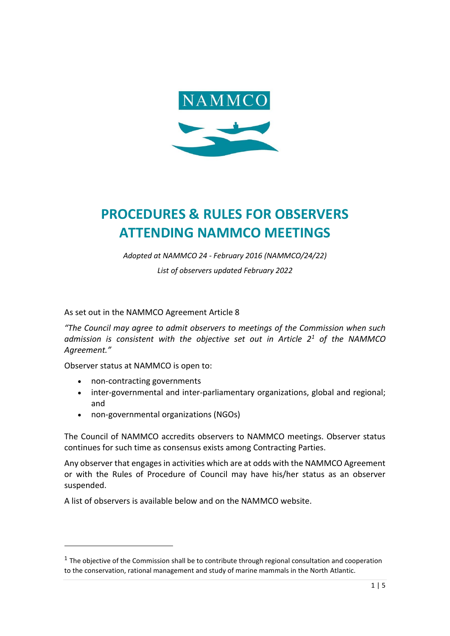

# **PROCEDURES & RULES FOR OBSERVERS ATTENDING NAMMCO MEETINGS**

*Adopted at NAMMCO 24 - February 2016 (NAMMCO/24/22)*

*List of observers updated February 2022*

As set out in the NAMMCO Agreement Article 8

*"The Council may agree to admit observers to meetings of the Commission when such admission is consistent with the objective set out in Article 2<sup>1</sup> of the NAMMCO Agreement."*

Observer status at NAMMCO is open to:

- non-contracting governments
- inter-governmental and inter-parliamentary organizations, global and regional; and
- non-governmental organizations (NGOs)

The Council of NAMMCO accredits observers to NAMMCO meetings. Observer status continues for such time as consensus exists among Contracting Parties.

Any observer that engages in activities which are at odds with the NAMMCO Agreement or with the Rules of Procedure of Council may have his/her status as an observer suspended.

A list of observers is available below and on the NAMMCO website.

 $<sup>1</sup>$  The objective of the Commission shall be to contribute through regional consultation and cooperation</sup> to the conservation, rational management and study of marine mammals in the North Atlantic.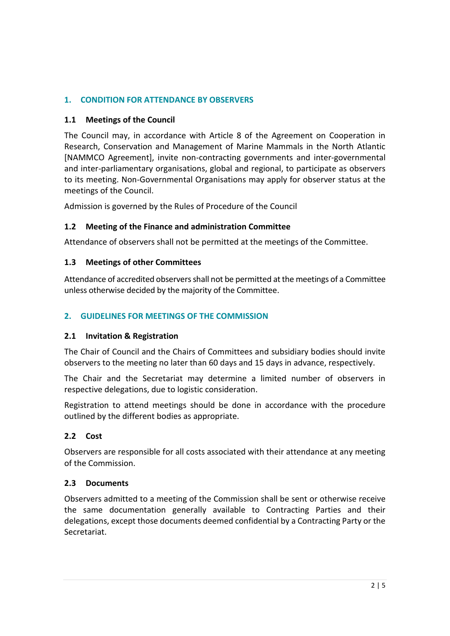# **1. CONDITION FOR ATTENDANCE BY OBSERVERS**

# **1.1 Meetings of the Council**

The Council may, in accordance with Article 8 of the Agreement on Cooperation in Research, Conservation and Management of Marine Mammals in the North Atlantic [NAMMCO Agreement], invite non-contracting governments and inter-governmental and inter-parliamentary organisations, global and regional, to participate as observers to its meeting. Non-Governmental Organisations may apply for observer status at the meetings of the Council.

Admission is governed by the Rules of Procedure of the Council

## **1.2 Meeting of the Finance and administration Committee**

Attendance of observers shall not be permitted at the meetings of the Committee.

## **1.3 Meetings of other Committees**

Attendance of accredited observers shall not be permitted at the meetings of a Committee unless otherwise decided by the majority of the Committee.

## **2. GUIDELINES FOR MEETINGS OF THE COMMISSION**

#### **2.1 Invitation & Registration**

The Chair of Council and the Chairs of Committees and subsidiary bodies should invite observers to the meeting no later than 60 days and 15 days in advance, respectively.

The Chair and the Secretariat may determine a limited number of observers in respective delegations, due to logistic consideration.

Registration to attend meetings should be done in accordance with the procedure outlined by the different bodies as appropriate.

#### **2.2 Cost**

Observers are responsible for all costs associated with their attendance at any meeting of the Commission.

#### **2.3 Documents**

Observers admitted to a meeting of the Commission shall be sent or otherwise receive the same documentation generally available to Contracting Parties and their delegations, except those documents deemed confidential by a Contracting Party or the Secretariat.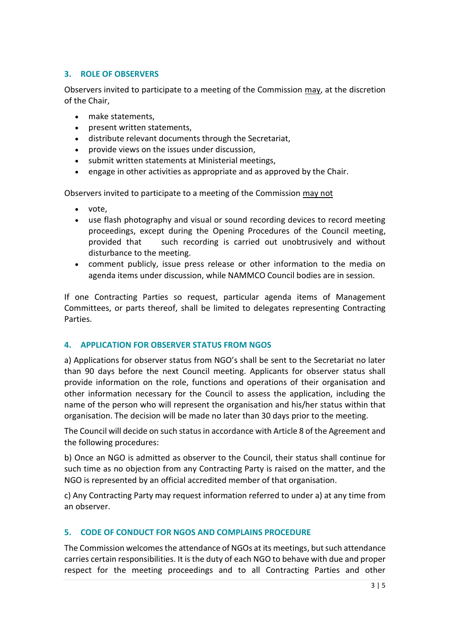# **3. ROLE OF OBSERVERS**

Observers invited to participate to a meeting of the Commission may, at the discretion of the Chair,

- make statements,
- present written statements,
- distribute relevant documents through the Secretariat,
- provide views on the issues under discussion,
- submit written statements at Ministerial meetings,
- engage in other activities as appropriate and as approved by the Chair.

Observers invited to participate to a meeting of the Commission may not

- vote,
- use flash photography and visual or sound recording devices to record meeting proceedings, except during the Opening Procedures of the Council meeting, provided that such recording is carried out unobtrusively and without disturbance to the meeting.
- comment publicly, issue press release or other information to the media on agenda items under discussion, while NAMMCO Council bodies are in session.

If one Contracting Parties so request, particular agenda items of Management Committees, or parts thereof, shall be limited to delegates representing Contracting **Parties** 

#### **4. APPLICATION FOR OBSERVER STATUS FROM NGOS**

a) Applications for observer status from NGO's shall be sent to the Secretariat no later than 90 days before the next Council meeting. Applicants for observer status shall provide information on the role, functions and operations of their organisation and other information necessary for the Council to assess the application, including the name of the person who will represent the organisation and his/her status within that organisation. The decision will be made no later than 30 days prior to the meeting.

The Council will decide on such status in accordance with Article 8 of the Agreement and the following procedures:

b) Once an NGO is admitted as observer to the Council, their status shall continue for such time as no objection from any Contracting Party is raised on the matter, and the NGO is represented by an official accredited member of that organisation.

c) Any Contracting Party may request information referred to under a) at any time from an observer.

# **5. CODE OF CONDUCT FOR NGOS AND COMPLAINS PROCEDURE**

The Commission welcomes the attendance of NGOs at its meetings, but such attendance carries certain responsibilities. It is the duty of each NGO to behave with due and proper respect for the meeting proceedings and to all Contracting Parties and other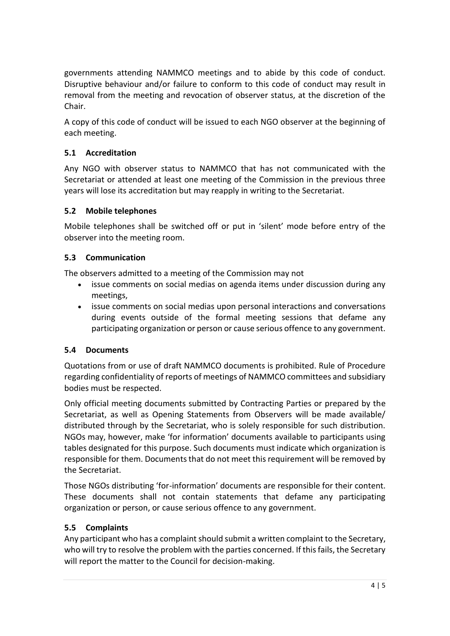governments attending NAMMCO meetings and to abide by this code of conduct. Disruptive behaviour and/or failure to conform to this code of conduct may result in removal from the meeting and revocation of observer status, at the discretion of the Chair.

A copy of this code of conduct will be issued to each NGO observer at the beginning of each meeting.

# **5.1 Accreditation**

Any NGO with observer status to NAMMCO that has not communicated with the Secretariat or attended at least one meeting of the Commission in the previous three years will lose its accreditation but may reapply in writing to the Secretariat.

# **5.2 Mobile telephones**

Mobile telephones shall be switched off or put in 'silent' mode before entry of the observer into the meeting room.

# **5.3 Communication**

The observers admitted to a meeting of the Commission may not

- issue comments on social medias on agenda items under discussion during any meetings,
- issue comments on social medias upon personal interactions and conversations during events outside of the formal meeting sessions that defame any participating organization or person or cause serious offence to any government.

# **5.4 Documents**

Quotations from or use of draft NAMMCO documents is prohibited. Rule of Procedure regarding confidentiality of reports of meetings of NAMMCO committees and subsidiary bodies must be respected.

Only official meeting documents submitted by Contracting Parties or prepared by the Secretariat, as well as Opening Statements from Observers will be made available/ distributed through by the Secretariat, who is solely responsible for such distribution. NGOs may, however, make 'for information' documents available to participants using tables designated for this purpose. Such documents must indicate which organization is responsible for them. Documents that do not meet this requirement will be removed by the Secretariat.

Those NGOs distributing 'for-information' documents are responsible for their content. These documents shall not contain statements that defame any participating organization or person, or cause serious offence to any government.

# **5.5 Complaints**

Any participant who has a complaint should submit a written complaint to the Secretary, who will try to resolve the problem with the parties concerned. If this fails, the Secretary will report the matter to the Council for decision-making.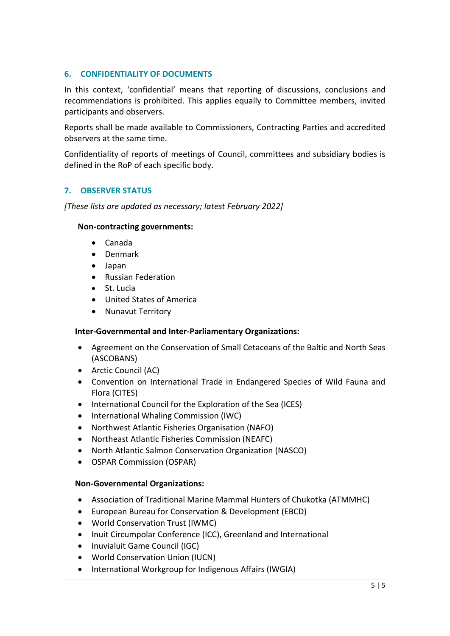# **6. CONFIDENTIALITY OF DOCUMENTS**

In this context, 'confidential' means that reporting of discussions, conclusions and recommendations is prohibited. This applies equally to Committee members, invited participants and observers.

Reports shall be made available to Commissioners, Contracting Parties and accredited observers at the same time.

Confidentiality of reports of meetings of Council, committees and subsidiary bodies is defined in the RoP of each specific body.

# **7. OBSERVER STATUS**

*[These lists are updated as necessary; latest February 2022]*

#### **Non-contracting governments:**

- Canada
- Denmark
- Japan
- Russian Federation
- St. Lucia
- United States of America
- Nunavut Territory

# **Inter-Governmental and Inter-Parliamentary Organizations:**

- Agreement on the Conservation of Small Cetaceans of the Baltic and North Seas (ASCOBANS)
- Arctic Council (AC)
- Convention on International Trade in Endangered Species of Wild Fauna and Flora (CITES)
- International Council for the Exploration of the Sea (ICES)
- International Whaling Commission (IWC)
- Northwest Atlantic Fisheries Organisation (NAFO)
- Northeast Atlantic Fisheries Commission (NEAFC)
- North Atlantic Salmon Conservation Organization (NASCO)
- OSPAR Commission (OSPAR)

# **Non-Governmental Organizations:**

- Association of Traditional Marine Mammal Hunters of Chukotka (ATMMHC)
- European Bureau for Conservation & Development (EBCD)
- World Conservation Trust (IWMC)
- Inuit Circumpolar Conference (ICC), Greenland and International
- Inuvialuit Game Council (IGC)
- World Conservation Union (IUCN)
- International Workgroup for Indigenous Affairs (IWGIA)